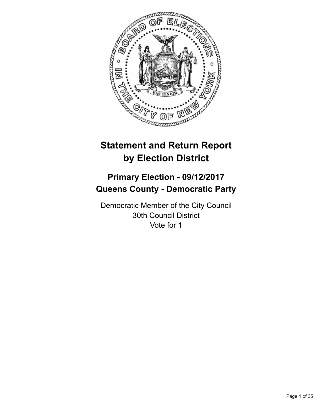

# **Statement and Return Report by Election District**

# **Primary Election - 09/12/2017 Queens County - Democratic Party**

Democratic Member of the City Council 30th Council District Vote for 1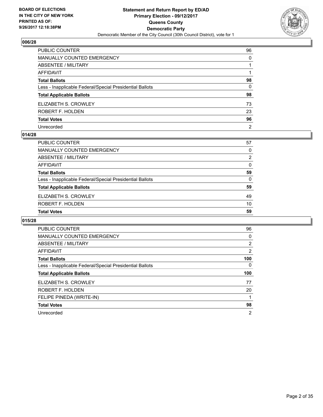

| PUBLIC COUNTER                                           | 96             |
|----------------------------------------------------------|----------------|
| MANUALLY COUNTED EMERGENCY                               | 0              |
| ABSENTEE / MILITARY                                      |                |
| AFFIDAVIT                                                |                |
| Total Ballots                                            | 98             |
| Less - Inapplicable Federal/Special Presidential Ballots | $\mathbf{0}$   |
| <b>Total Applicable Ballots</b>                          | 98             |
| ELIZABETH S. CROWLEY                                     | 73             |
| ROBERT F. HOLDEN                                         | 23             |
| <b>Total Votes</b>                                       | 96             |
| Unrecorded                                               | $\overline{2}$ |

## **014/28**

| <b>PUBLIC COUNTER</b>                                    | 57 |
|----------------------------------------------------------|----|
| <b>MANUALLY COUNTED EMERGENCY</b>                        | 0  |
| ABSENTEE / MILITARY                                      | 2  |
| AFFIDAVIT                                                | 0  |
| <b>Total Ballots</b>                                     | 59 |
| Less - Inapplicable Federal/Special Presidential Ballots | 0  |
| <b>Total Applicable Ballots</b>                          | 59 |
| ELIZABETH S. CROWLEY                                     | 49 |
| ROBERT F. HOLDEN                                         | 10 |
| <b>Total Votes</b>                                       | 59 |

| PUBLIC COUNTER                                           | 96             |
|----------------------------------------------------------|----------------|
| <b>MANUALLY COUNTED EMERGENCY</b>                        | 0              |
| ABSENTEE / MILITARY                                      | $\overline{2}$ |
| AFFIDAVIT                                                | 2              |
| <b>Total Ballots</b>                                     | 100            |
| Less - Inapplicable Federal/Special Presidential Ballots | 0              |
| <b>Total Applicable Ballots</b>                          | 100            |
|                                                          |                |
| ELIZABETH S. CROWLEY                                     | 77             |
| ROBERT F. HOLDEN                                         | 20             |
| FELIPE PINEDA (WRITE-IN)                                 |                |
| <b>Total Votes</b>                                       | 98             |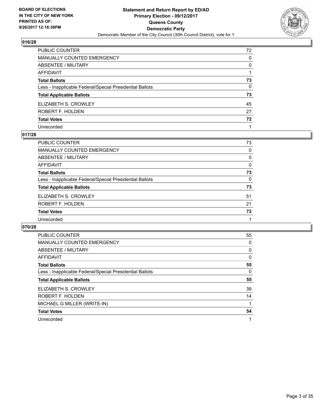

| PUBLIC COUNTER                                           | 72 |
|----------------------------------------------------------|----|
| <b>MANUALLY COUNTED EMERGENCY</b>                        | 0  |
| <b>ABSENTEE / MILITARY</b>                               | 0  |
| <b>AFFIDAVIT</b>                                         |    |
| <b>Total Ballots</b>                                     | 73 |
| Less - Inapplicable Federal/Special Presidential Ballots | 0  |
| <b>Total Applicable Ballots</b>                          | 73 |
| ELIZABETH S. CROWLEY                                     | 45 |
| ROBERT F. HOLDEN                                         | 27 |
| <b>Total Votes</b>                                       | 72 |
| Unrecorded                                               |    |

#### **017/28**

| <b>PUBLIC COUNTER</b>                                    | 73 |
|----------------------------------------------------------|----|
| <b>MANUALLY COUNTED EMERGENCY</b>                        | 0  |
| ABSENTEE / MILITARY                                      | 0  |
| AFFIDAVIT                                                | 0  |
| <b>Total Ballots</b>                                     | 73 |
| Less - Inapplicable Federal/Special Presidential Ballots | 0  |
| <b>Total Applicable Ballots</b>                          | 73 |
| ELIZABETH S. CROWLEY                                     | 51 |
| ROBERT F. HOLDEN                                         | 21 |
| <b>Total Votes</b>                                       | 72 |
| Unrecorded                                               |    |

| PUBLIC COUNTER                                           | 55 |
|----------------------------------------------------------|----|
| <b>MANUALLY COUNTED EMERGENCY</b>                        | 0  |
| ABSENTEE / MILITARY                                      | 0  |
| <b>AFFIDAVIT</b>                                         | 0  |
| <b>Total Ballots</b>                                     | 55 |
| Less - Inapplicable Federal/Special Presidential Ballots | 0  |
| <b>Total Applicable Ballots</b>                          | 55 |
|                                                          |    |
| ELIZABETH S. CROWLEY                                     | 39 |
| ROBERT F. HOLDEN                                         | 14 |
| MICHAEL G MILLER (WRITE-IN)                              |    |
| <b>Total Votes</b>                                       | 54 |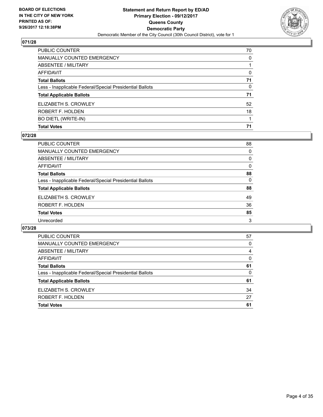

| PUBLIC COUNTER                                           | 70           |
|----------------------------------------------------------|--------------|
| <b>MANUALLY COUNTED EMERGENCY</b>                        | 0            |
| <b>ABSENTEE / MILITARY</b>                               |              |
| AFFIDAVIT                                                | $\Omega$     |
| <b>Total Ballots</b>                                     | 71           |
| Less - Inapplicable Federal/Special Presidential Ballots | $\mathbf{0}$ |
| <b>Total Applicable Ballots</b>                          | 71           |
| ELIZABETH S. CROWLEY                                     | 52           |
| ROBERT F. HOLDEN                                         | 18           |
| <b>BO DIETL (WRITE-IN)</b>                               |              |
| <b>Total Votes</b>                                       | 71           |

## **072/28**

| PUBLIC COUNTER                                           | 88 |
|----------------------------------------------------------|----|
| <b>MANUALLY COUNTED EMERGENCY</b>                        | 0  |
| ABSENTEE / MILITARY                                      | 0  |
| <b>AFFIDAVIT</b>                                         | 0  |
| <b>Total Ballots</b>                                     | 88 |
| Less - Inapplicable Federal/Special Presidential Ballots | 0  |
| <b>Total Applicable Ballots</b>                          | 88 |
| ELIZABETH S. CROWLEY                                     | 49 |
| ROBERT F. HOLDEN                                         | 36 |
| <b>Total Votes</b>                                       | 85 |
| Unrecorded                                               | 3  |
|                                                          |    |

| <b>Total Votes</b>                                       | 61 |
|----------------------------------------------------------|----|
| ROBERT F. HOLDEN                                         | 27 |
| ELIZABETH S. CROWLEY                                     | 34 |
| <b>Total Applicable Ballots</b>                          | 61 |
| Less - Inapplicable Federal/Special Presidential Ballots | 0  |
| <b>Total Ballots</b>                                     | 61 |
| AFFIDAVIT                                                | 0  |
| ABSENTEE / MILITARY                                      | 4  |
| MANUALLY COUNTED EMERGENCY                               | 0  |
| <b>PUBLIC COUNTER</b>                                    | 57 |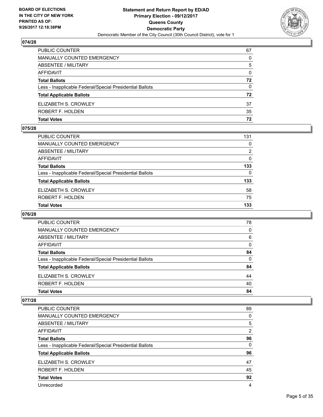

| <b>PUBLIC COUNTER</b>                                    | 67 |
|----------------------------------------------------------|----|
| <b>MANUALLY COUNTED EMERGENCY</b>                        | 0  |
| ABSENTEE / MILITARY                                      | 5  |
| AFFIDAVIT                                                | 0  |
| <b>Total Ballots</b>                                     | 72 |
| Less - Inapplicable Federal/Special Presidential Ballots | 0  |
| <b>Total Applicable Ballots</b>                          | 72 |
| ELIZABETH S. CROWLEY                                     | 37 |
| ROBERT F. HOLDEN                                         | 35 |
| <b>Total Votes</b>                                       | 72 |

## **075/28**

| PUBLIC COUNTER                                           | 131            |
|----------------------------------------------------------|----------------|
| MANUALLY COUNTED EMERGENCY                               | 0              |
| ABSENTEE / MILITARY                                      | $\overline{2}$ |
| AFFIDAVIT                                                | 0              |
| <b>Total Ballots</b>                                     | 133            |
| Less - Inapplicable Federal/Special Presidential Ballots | $\Omega$       |
| <b>Total Applicable Ballots</b>                          | 133            |
| ELIZABETH S. CROWLEY                                     | 58             |
| ROBERT F. HOLDEN                                         | 75             |
| <b>Total Votes</b>                                       | 133            |
|                                                          |                |

## **076/28**

| <b>PUBLIC COUNTER</b>                                    | 78 |
|----------------------------------------------------------|----|
| <b>MANUALLY COUNTED EMERGENCY</b>                        | 0  |
| ABSENTEE / MILITARY                                      | 6  |
| AFFIDAVIT                                                | 0  |
| <b>Total Ballots</b>                                     | 84 |
| Less - Inapplicable Federal/Special Presidential Ballots | 0  |
| <b>Total Applicable Ballots</b>                          | 84 |
| ELIZABETH S. CROWLEY                                     | 44 |
| ROBERT F. HOLDEN                                         | 40 |
| <b>Total Votes</b>                                       | 84 |

| PUBLIC COUNTER                                           | 89             |
|----------------------------------------------------------|----------------|
| <b>MANUALLY COUNTED EMERGENCY</b>                        | 0              |
| <b>ABSENTEE / MILITARY</b>                               | 5              |
| AFFIDAVIT                                                | $\overline{2}$ |
| <b>Total Ballots</b>                                     | 96             |
| Less - Inapplicable Federal/Special Presidential Ballots | 0              |
| <b>Total Applicable Ballots</b>                          | 96             |
| ELIZABETH S. CROWLEY                                     | 47             |
| ROBERT F. HOLDEN                                         | 45             |
| <b>Total Votes</b>                                       | 92             |
| Unrecorded                                               | 4              |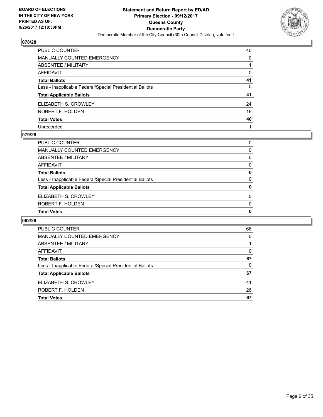

| PUBLIC COUNTER                                           | 40 |
|----------------------------------------------------------|----|
| <b>MANUALLY COUNTED EMERGENCY</b>                        | 0  |
| <b>ABSENTEE / MILITARY</b>                               |    |
| AFFIDAVIT                                                | 0  |
| <b>Total Ballots</b>                                     | 41 |
| Less - Inapplicable Federal/Special Presidential Ballots | 0  |
| <b>Total Applicable Ballots</b>                          | 41 |
| ELIZABETH S. CROWLEY                                     | 24 |
| ROBERT F. HOLDEN                                         | 16 |
| <b>Total Votes</b>                                       | 40 |
| Unrecorded                                               |    |

#### **079/28**

| 0        |
|----------|
| $\Omega$ |
| $\Omega$ |
| 0        |
| 0        |
| 0        |
| 0        |
| 0        |
| 0        |
| 0        |
|          |

| PUBLIC COUNTER                                           | 66 |
|----------------------------------------------------------|----|
| <b>MANUALLY COUNTED EMERGENCY</b>                        | 0  |
| ABSENTEE / MILITARY                                      |    |
| AFFIDAVIT                                                | 0  |
| <b>Total Ballots</b>                                     | 67 |
| Less - Inapplicable Federal/Special Presidential Ballots | 0  |
| <b>Total Applicable Ballots</b>                          | 67 |
| ELIZABETH S. CROWLEY                                     | 41 |
| ROBERT F. HOLDEN                                         | 26 |
| <b>Total Votes</b>                                       | 67 |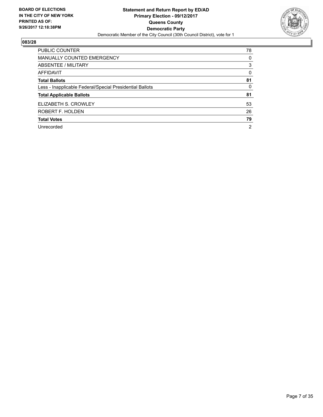

| <b>PUBLIC COUNTER</b>                                    | 78             |
|----------------------------------------------------------|----------------|
| <b>MANUALLY COUNTED EMERGENCY</b>                        | 0              |
| ABSENTEE / MILITARY                                      | 3              |
| AFFIDAVIT                                                | 0              |
| <b>Total Ballots</b>                                     | 81             |
| Less - Inapplicable Federal/Special Presidential Ballots | 0              |
| <b>Total Applicable Ballots</b>                          | 81             |
| ELIZABETH S. CROWLEY                                     | 53             |
| ROBERT F. HOLDEN                                         | 26             |
| <b>Total Votes</b>                                       | 79             |
| Unrecorded                                               | $\overline{2}$ |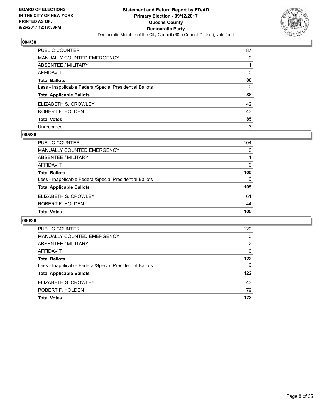

| PUBLIC COUNTER                                           | 87 |
|----------------------------------------------------------|----|
| <b>MANUALLY COUNTED EMERGENCY</b>                        | 0  |
| ABSENTEE / MILITARY                                      |    |
| AFFIDAVIT                                                | 0  |
| <b>Total Ballots</b>                                     | 88 |
| Less - Inapplicable Federal/Special Presidential Ballots | 0  |
| <b>Total Applicable Ballots</b>                          | 88 |
| ELIZABETH S. CROWLEY                                     | 42 |
| ROBERT F. HOLDEN                                         | 43 |
| <b>Total Votes</b>                                       | 85 |
| Unrecorded                                               | 3  |

#### **005/30**

| <b>PUBLIC COUNTER</b>                                    | 104 |
|----------------------------------------------------------|-----|
| <b>MANUALLY COUNTED EMERGENCY</b>                        | 0   |
| ABSENTEE / MILITARY                                      |     |
| AFFIDAVIT                                                | 0   |
| <b>Total Ballots</b>                                     | 105 |
| Less - Inapplicable Federal/Special Presidential Ballots | 0   |
| <b>Total Applicable Ballots</b>                          | 105 |
| ELIZABETH S. CROWLEY                                     | 61  |
| ROBERT F. HOLDEN                                         | 44  |
| <b>Total Votes</b>                                       | 105 |

| <b>PUBLIC COUNTER</b>                                    | 120 |
|----------------------------------------------------------|-----|
| <b>MANUALLY COUNTED EMERGENCY</b>                        | 0   |
| ABSENTEE / MILITARY                                      | 2   |
| AFFIDAVIT                                                | 0   |
| <b>Total Ballots</b>                                     | 122 |
| Less - Inapplicable Federal/Special Presidential Ballots | 0   |
| <b>Total Applicable Ballots</b>                          | 122 |
| ELIZABETH S. CROWLEY                                     | 43  |
| <b>ROBERT F. HOLDEN</b>                                  | 79  |
| <b>Total Votes</b>                                       | 122 |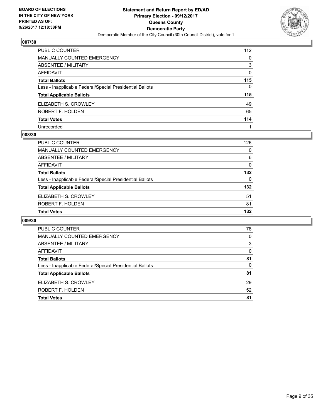

| PUBLIC COUNTER                                           | 112 |
|----------------------------------------------------------|-----|
| MANUALLY COUNTED EMERGENCY                               | 0   |
| ABSENTEE / MILITARY                                      | 3   |
| <b>AFFIDAVIT</b>                                         | 0   |
| <b>Total Ballots</b>                                     | 115 |
| Less - Inapplicable Federal/Special Presidential Ballots | 0   |
| <b>Total Applicable Ballots</b>                          | 115 |
| ELIZABETH S. CROWLEY                                     | 49  |
| ROBERT F. HOLDEN                                         | 65  |
| <b>Total Votes</b>                                       | 114 |
| Unrecorded                                               |     |

#### **008/30**

| <b>PUBLIC COUNTER</b>                                    | 126 |
|----------------------------------------------------------|-----|
| <b>MANUALLY COUNTED EMERGENCY</b>                        | 0   |
| ABSENTEE / MILITARY                                      | 6   |
| AFFIDAVIT                                                | 0   |
| <b>Total Ballots</b>                                     | 132 |
| Less - Inapplicable Federal/Special Presidential Ballots | 0   |
| <b>Total Applicable Ballots</b>                          | 132 |
| ELIZABETH S. CROWLEY                                     | 51  |
| ROBERT F. HOLDEN                                         | 81  |
| <b>Total Votes</b>                                       | 132 |

| <b>PUBLIC COUNTER</b>                                    | 78 |
|----------------------------------------------------------|----|
| <b>MANUALLY COUNTED EMERGENCY</b>                        | 0  |
| ABSENTEE / MILITARY                                      | 3  |
| AFFIDAVIT                                                | 0  |
| <b>Total Ballots</b>                                     | 81 |
| Less - Inapplicable Federal/Special Presidential Ballots | 0  |
| <b>Total Applicable Ballots</b>                          | 81 |
| ELIZABETH S. CROWLEY                                     | 29 |
| ROBERT F. HOLDEN                                         | 52 |
| <b>Total Votes</b>                                       | 81 |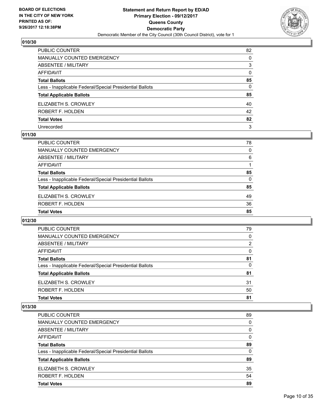

| PUBLIC COUNTER                                           | 82       |
|----------------------------------------------------------|----------|
| <b>MANUALLY COUNTED EMERGENCY</b>                        | $\Omega$ |
| <b>ABSENTEE / MILITARY</b>                               | 3        |
| <b>AFFIDAVIT</b>                                         | $\Omega$ |
| <b>Total Ballots</b>                                     | 85       |
| Less - Inapplicable Federal/Special Presidential Ballots | 0        |
| <b>Total Applicable Ballots</b>                          | 85       |
| ELIZABETH S. CROWLEY                                     | 40       |
| ROBERT F. HOLDEN                                         | 42       |
| <b>Total Votes</b>                                       | 82       |
| Unrecorded                                               | 3        |

## **011/30**

| <b>PUBLIC COUNTER</b>                                    | 78 |
|----------------------------------------------------------|----|
| MANUALLY COUNTED EMERGENCY                               | 0  |
| ABSENTEE / MILITARY                                      | 6  |
| AFFIDAVIT                                                |    |
| <b>Total Ballots</b>                                     | 85 |
| Less - Inapplicable Federal/Special Presidential Ballots | 0  |
| <b>Total Applicable Ballots</b>                          | 85 |
| ELIZABETH S. CROWLEY                                     | 49 |
| ROBERT F. HOLDEN                                         | 36 |
| <b>Total Votes</b>                                       | 85 |

## **012/30**

| <b>PUBLIC COUNTER</b>                                    | 79 |
|----------------------------------------------------------|----|
| MANUALLY COUNTED EMERGENCY                               | 0  |
| ABSENTEE / MILITARY                                      | 2  |
| AFFIDAVIT                                                | 0  |
| <b>Total Ballots</b>                                     | 81 |
| Less - Inapplicable Federal/Special Presidential Ballots | 0  |
| <b>Total Applicable Ballots</b>                          | 81 |
| ELIZABETH S. CROWLEY                                     | 31 |
| ROBERT F. HOLDEN                                         | 50 |
| <b>Total Votes</b>                                       | 81 |

| PUBLIC COUNTER                                           | 89 |
|----------------------------------------------------------|----|
| MANUALLY COUNTED EMERGENCY                               | 0  |
| ABSENTEE / MILITARY                                      | 0  |
| AFFIDAVIT                                                | 0  |
| <b>Total Ballots</b>                                     | 89 |
| Less - Inapplicable Federal/Special Presidential Ballots | 0  |
| <b>Total Applicable Ballots</b>                          | 89 |
| ELIZABETH S. CROWLEY                                     | 35 |
| ROBERT F. HOLDEN                                         | 54 |
| <b>Total Votes</b>                                       | 89 |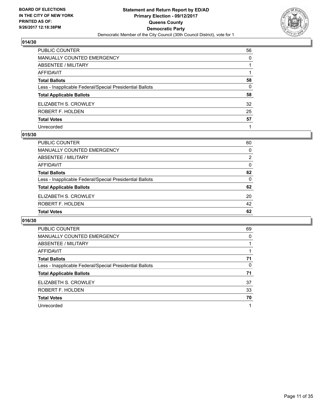

| PUBLIC COUNTER                                           | 56 |
|----------------------------------------------------------|----|
| <b>MANUALLY COUNTED EMERGENCY</b>                        | 0  |
| <b>ABSENTEE / MILITARY</b>                               |    |
| <b>AFFIDAVIT</b>                                         |    |
| <b>Total Ballots</b>                                     | 58 |
| Less - Inapplicable Federal/Special Presidential Ballots | 0  |
| <b>Total Applicable Ballots</b>                          | 58 |
| ELIZABETH S. CROWLEY                                     | 32 |
| ROBERT F. HOLDEN                                         | 25 |
| <b>Total Votes</b>                                       | 57 |
| Unrecorded                                               |    |

#### **015/30**

| <b>PUBLIC COUNTER</b>                                    | 60       |
|----------------------------------------------------------|----------|
| MANUALLY COUNTED EMERGENCY                               | 0        |
| ABSENTEE / MILITARY                                      | 2        |
| AFFIDAVIT                                                | 0        |
| <b>Total Ballots</b>                                     | 62       |
| Less - Inapplicable Federal/Special Presidential Ballots | $\Omega$ |
| <b>Total Applicable Ballots</b>                          | 62       |
| ELIZABETH S. CROWLEY                                     | 20       |
| ROBERT F. HOLDEN                                         | 42       |
| <b>Total Votes</b>                                       | 62       |

| <b>PUBLIC COUNTER</b>                                    | 69 |
|----------------------------------------------------------|----|
| <b>MANUALLY COUNTED EMERGENCY</b>                        | 0  |
| ABSENTEE / MILITARY                                      |    |
| AFFIDAVIT                                                |    |
| <b>Total Ballots</b>                                     | 71 |
| Less - Inapplicable Federal/Special Presidential Ballots | 0  |
| <b>Total Applicable Ballots</b>                          | 71 |
| ELIZABETH S. CROWLEY                                     | 37 |
| ROBERT F. HOLDEN                                         | 33 |
| <b>Total Votes</b>                                       | 70 |
| Unrecorded                                               |    |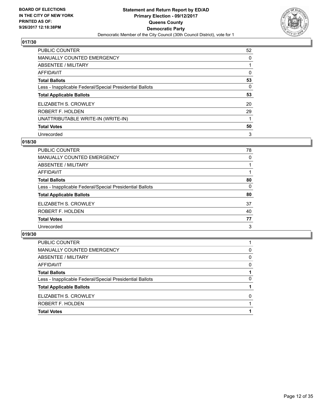

| PUBLIC COUNTER                                           | 52 |
|----------------------------------------------------------|----|
| <b>MANUALLY COUNTED EMERGENCY</b>                        | 0  |
| ABSENTEE / MILITARY                                      |    |
| AFFIDAVIT                                                | 0  |
| <b>Total Ballots</b>                                     | 53 |
| Less - Inapplicable Federal/Special Presidential Ballots | 0  |
| <b>Total Applicable Ballots</b>                          | 53 |
| ELIZABETH S. CROWLEY                                     | 20 |
| ROBERT F. HOLDEN                                         | 29 |
| UNATTRIBUTABLE WRITE-IN (WRITE-IN)                       |    |
| <b>Total Votes</b>                                       | 50 |
| Unrecorded                                               | 3  |

#### **018/30**

| <b>PUBLIC COUNTER</b>                                    | 78 |
|----------------------------------------------------------|----|
| <b>MANUALLY COUNTED EMERGENCY</b>                        | 0  |
| ABSENTEE / MILITARY                                      |    |
| AFFIDAVIT                                                |    |
| <b>Total Ballots</b>                                     | 80 |
| Less - Inapplicable Federal/Special Presidential Ballots | 0  |
| <b>Total Applicable Ballots</b>                          | 80 |
| ELIZABETH S. CROWLEY                                     | 37 |
| ROBERT F. HOLDEN                                         | 40 |
| <b>Total Votes</b>                                       | 77 |
| Unrecorded                                               | 3  |

| PUBLIC COUNTER                                           |              |
|----------------------------------------------------------|--------------|
| MANUALLY COUNTED EMERGENCY                               | 0            |
| ABSENTEE / MILITARY                                      | 0            |
| AFFIDAVIT                                                | 0            |
| <b>Total Ballots</b>                                     |              |
| Less - Inapplicable Federal/Special Presidential Ballots | 0            |
| <b>Total Applicable Ballots</b>                          |              |
| ELIZABETH S. CROWLEY                                     | <sup>0</sup> |
| ROBERT F. HOLDEN                                         |              |
| <b>Total Votes</b>                                       |              |
|                                                          |              |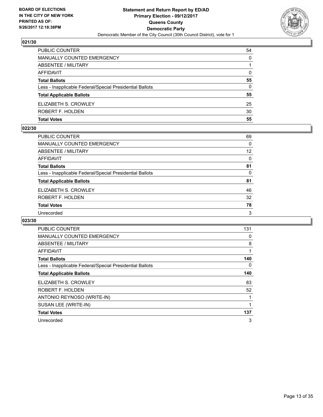

| PUBLIC COUNTER                                           | 54       |
|----------------------------------------------------------|----------|
| MANUALLY COUNTED EMERGENCY                               | 0        |
| ABSENTEE / MILITARY                                      |          |
| AFFIDAVIT                                                | $\Omega$ |
| <b>Total Ballots</b>                                     | 55       |
| Less - Inapplicable Federal/Special Presidential Ballots | 0        |
| <b>Total Applicable Ballots</b>                          | 55       |
| ELIZABETH S. CROWLEY                                     | 25       |
| ROBERT F. HOLDEN                                         | 30       |
| <b>Total Votes</b>                                       | 55       |

#### **022/30**

| PUBLIC COUNTER                                           | 69       |
|----------------------------------------------------------|----------|
| <b>MANUALLY COUNTED EMERGENCY</b>                        | 0        |
| ABSENTEE / MILITARY                                      | 12       |
| AFFIDAVIT                                                | $\Omega$ |
| <b>Total Ballots</b>                                     | 81       |
| Less - Inapplicable Federal/Special Presidential Ballots | 0        |
| <b>Total Applicable Ballots</b>                          | 81       |
| ELIZABETH S. CROWLEY                                     | 46       |
| ROBERT F. HOLDEN                                         | 32       |
| <b>Total Votes</b>                                       | 78       |
| Unrecorded                                               | 3        |
|                                                          |          |

| <b>PUBLIC COUNTER</b>                                    | 131 |
|----------------------------------------------------------|-----|
| <b>MANUALLY COUNTED EMERGENCY</b>                        | 0   |
| ABSENTEE / MILITARY                                      | 8   |
| <b>AFFIDAVIT</b>                                         |     |
| <b>Total Ballots</b>                                     | 140 |
| Less - Inapplicable Federal/Special Presidential Ballots | 0   |
| <b>Total Applicable Ballots</b>                          | 140 |
| ELIZABETH S. CROWLEY                                     | 83  |
| ROBERT F. HOLDEN                                         | 52  |
| ANTONIO REYNOSO (WRITE-IN)                               |     |
| SUSAN LEE (WRITE-IN)                                     | 1   |
| <b>Total Votes</b>                                       | 137 |
| Unrecorded                                               | 3   |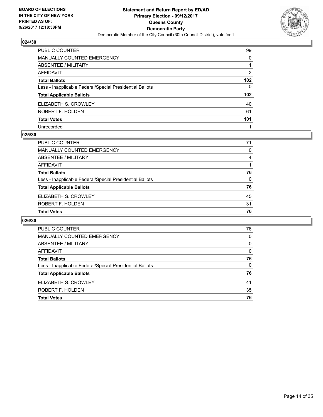

| PUBLIC COUNTER                                           | 99               |
|----------------------------------------------------------|------------------|
| <b>MANUALLY COUNTED EMERGENCY</b>                        | $\Omega$         |
| <b>ABSENTEE / MILITARY</b>                               |                  |
| AFFIDAVIT                                                | 2                |
| <b>Total Ballots</b>                                     | 102 <sub>2</sub> |
| Less - Inapplicable Federal/Special Presidential Ballots | $\mathbf{0}$     |
| <b>Total Applicable Ballots</b>                          | 102 <sub>2</sub> |
| ELIZABETH S. CROWLEY                                     | 40               |
| ROBERT F. HOLDEN                                         | 61               |
| <b>Total Votes</b>                                       | 101              |
| Unrecorded                                               |                  |

#### **025/30**

| PUBLIC COUNTER                                           | 71 |
|----------------------------------------------------------|----|
| MANUALLY COUNTED EMERGENCY                               | 0  |
| ABSENTEE / MILITARY                                      | 4  |
| AFFIDAVIT                                                |    |
| <b>Total Ballots</b>                                     | 76 |
| Less - Inapplicable Federal/Special Presidential Ballots | 0  |
| <b>Total Applicable Ballots</b>                          | 76 |
| ELIZABETH S. CROWLEY                                     | 45 |
| ROBERT F. HOLDEN                                         | 31 |
| <b>Total Votes</b>                                       | 76 |
|                                                          |    |

| PUBLIC COUNTER                                           | 76 |
|----------------------------------------------------------|----|
| <b>MANUALLY COUNTED EMERGENCY</b>                        | 0  |
| ABSENTEE / MILITARY                                      | 0  |
| AFFIDAVIT                                                | 0  |
| <b>Total Ballots</b>                                     | 76 |
| Less - Inapplicable Federal/Special Presidential Ballots | 0  |
| <b>Total Applicable Ballots</b>                          | 76 |
| ELIZABETH S. CROWLEY                                     | 41 |
| ROBERT F. HOLDEN                                         | 35 |
| <b>Total Votes</b>                                       | 76 |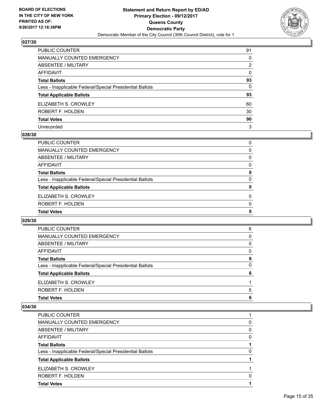

| PUBLIC COUNTER                                           | 91       |
|----------------------------------------------------------|----------|
| <b>MANUALLY COUNTED EMERGENCY</b>                        | $\Omega$ |
| <b>ABSENTEE / MILITARY</b>                               | 2        |
| <b>AFFIDAVIT</b>                                         | $\Omega$ |
| <b>Total Ballots</b>                                     | 93       |
| Less - Inapplicable Federal/Special Presidential Ballots | 0        |
| <b>Total Applicable Ballots</b>                          | 93       |
| ELIZABETH S. CROWLEY                                     | 60       |
| ROBERT F. HOLDEN                                         | 30       |
| <b>Total Votes</b>                                       | 90       |
| Unrecorded                                               | 3        |

#### **028/30**

| <b>Total Votes</b>                                       | 0        |
|----------------------------------------------------------|----------|
| ROBERT F. HOLDEN                                         | $\Omega$ |
| ELIZABETH S. CROWLEY                                     | $\Omega$ |
| <b>Total Applicable Ballots</b>                          | 0        |
| Less - Inapplicable Federal/Special Presidential Ballots | 0        |
| <b>Total Ballots</b>                                     | 0        |
| AFFIDAVIT                                                | 0        |
| ABSENTEE / MILITARY                                      | 0        |
| MANUALLY COUNTED EMERGENCY                               | 0        |
| <b>PUBLIC COUNTER</b>                                    | 0        |

## **029/30**

| PUBLIC COUNTER                                           | 6        |
|----------------------------------------------------------|----------|
| <b>MANUALLY COUNTED EMERGENCY</b>                        | 0        |
| ABSENTEE / MILITARY                                      | 0        |
| AFFIDAVIT                                                | $\Omega$ |
| <b>Total Ballots</b>                                     | 6        |
| Less - Inapplicable Federal/Special Presidential Ballots | 0        |
| <b>Total Applicable Ballots</b>                          | 6        |
| ELIZABETH S. CROWLEY                                     |          |
| ROBERT F. HOLDEN                                         | 5        |
| <b>Total Votes</b>                                       | 6        |

| ELIZABETH S. CROWLEY                                     |   |
|----------------------------------------------------------|---|
| <b>Total Applicable Ballots</b>                          |   |
| Less - Inapplicable Federal/Special Presidential Ballots | 0 |
| <b>Total Ballots</b>                                     |   |
| AFFIDAVIT                                                | 0 |
| ABSENTEE / MILITARY                                      | 0 |
| MANUALLY COUNTED EMERGENCY                               | 0 |
| PUBLIC COUNTER                                           |   |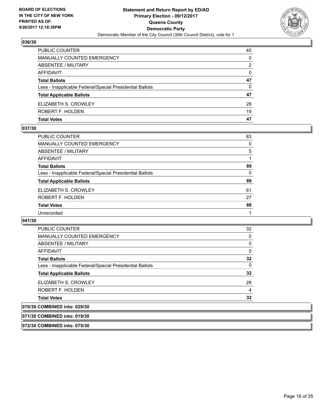

| <b>PUBLIC COUNTER</b>                                    | 45 |
|----------------------------------------------------------|----|
| MANUALLY COUNTED EMERGENCY                               | 0  |
| ABSENTEE / MILITARY                                      | 2  |
| AFFIDAVIT                                                | 0  |
| <b>Total Ballots</b>                                     | 47 |
| Less - Inapplicable Federal/Special Presidential Ballots | 0  |
| <b>Total Applicable Ballots</b>                          | 47 |
| ELIZABETH S. CROWLEY                                     | 28 |
| ROBERT F. HOLDEN                                         | 19 |
| <b>Total Votes</b>                                       | 47 |

#### **037/30**

| PUBLIC COUNTER                                           | 83 |
|----------------------------------------------------------|----|
| <b>MANUALLY COUNTED EMERGENCY</b>                        | 0  |
| ABSENTEE / MILITARY                                      | 5  |
| AFFIDAVIT                                                |    |
| <b>Total Ballots</b>                                     | 89 |
| Less - Inapplicable Federal/Special Presidential Ballots | 0  |
| <b>Total Applicable Ballots</b>                          | 89 |
| ELIZABETH S. CROWLEY                                     | 61 |
| ROBERT F. HOLDEN                                         | 27 |
| <b>Total Votes</b>                                       | 88 |
| Unrecorded                                               |    |
|                                                          |    |

# **041/30**

| <b>PUBLIC COUNTER</b>                                    | 32 |
|----------------------------------------------------------|----|
| <b>MANUALLY COUNTED EMERGENCY</b>                        | 0  |
| ABSENTEE / MILITARY                                      | 0  |
| AFFIDAVIT                                                | 0  |
| <b>Total Ballots</b>                                     | 32 |
| Less - Inapplicable Federal/Special Presidential Ballots | 0  |
| <b>Total Applicable Ballots</b>                          | 32 |
| ELIZABETH S. CROWLEY                                     | 28 |
| ROBERT F. HOLDEN                                         | 4  |
| <b>Total Votes</b>                                       | 32 |
| 070/30 COMBINED into: 029/30                             |    |
|                                                          |    |

# **071/30 COMBINED into: 019/30**

**072/30 COMBINED into: 075/30**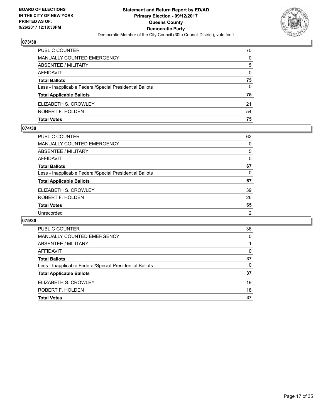

| PUBLIC COUNTER                                           | 70 |
|----------------------------------------------------------|----|
| MANUALLY COUNTED EMERGENCY                               | 0  |
| ABSENTEE / MILITARY                                      | 5  |
| AFFIDAVIT                                                | 0  |
| <b>Total Ballots</b>                                     | 75 |
| Less - Inapplicable Federal/Special Presidential Ballots | 0  |
| <b>Total Applicable Ballots</b>                          | 75 |
| ELIZABETH S. CROWLEY                                     | 21 |
| ROBERT F. HOLDEN                                         | 54 |
| <b>Total Votes</b>                                       | 75 |

#### **074/30**

| <b>PUBLIC COUNTER</b>                                    | 62 |
|----------------------------------------------------------|----|
| <b>MANUALLY COUNTED EMERGENCY</b>                        | 0  |
| ABSENTEE / MILITARY                                      | 5  |
| <b>AFFIDAVIT</b>                                         | 0  |
| <b>Total Ballots</b>                                     | 67 |
| Less - Inapplicable Federal/Special Presidential Ballots | 0  |
| <b>Total Applicable Ballots</b>                          | 67 |
| ELIZABETH S. CROWLEY                                     | 39 |
| ROBERT F. HOLDEN                                         | 26 |
| <b>Total Votes</b>                                       | 65 |
| Unrecorded                                               | 2  |
|                                                          |    |

| <b>PUBLIC COUNTER</b>                                    | 36       |
|----------------------------------------------------------|----------|
| <b>MANUALLY COUNTED EMERGENCY</b>                        | $\Omega$ |
| <b>ABSENTEE / MILITARY</b>                               |          |
| AFFIDAVIT                                                | $\Omega$ |
| <b>Total Ballots</b>                                     | 37       |
| Less - Inapplicable Federal/Special Presidential Ballots | 0        |
| <b>Total Applicable Ballots</b>                          | 37       |
| ELIZABETH S. CROWLEY                                     | 19       |
| ROBERT F. HOLDEN                                         | 18       |
| <b>Total Votes</b>                                       | 37       |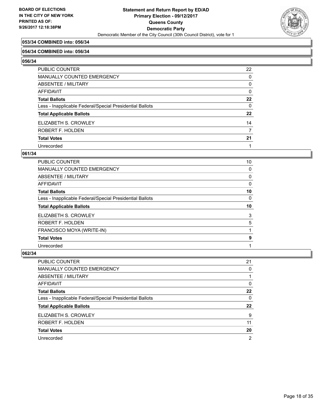

# **053/34 COMBINED into: 056/34**

#### **054/34 COMBINED into: 056/34**

**056/34** 

| PUBLIC COUNTER                                           | 22       |
|----------------------------------------------------------|----------|
| <b>MANUALLY COUNTED EMERGENCY</b>                        | $\Omega$ |
| ABSENTEE / MILITARY                                      | 0        |
| <b>AFFIDAVIT</b>                                         | $\Omega$ |
| <b>Total Ballots</b>                                     | 22       |
| Less - Inapplicable Federal/Special Presidential Ballots | $\Omega$ |
| <b>Total Applicable Ballots</b>                          | $22 \,$  |
| ELIZABETH S. CROWLEY                                     | 14       |
| ROBERT F. HOLDEN                                         | 7        |
| <b>Total Votes</b>                                       | 21       |
| Unrecorded                                               |          |

#### **061/34**

| <b>PUBLIC COUNTER</b>                                    | 10 |
|----------------------------------------------------------|----|
| <b>MANUALLY COUNTED EMERGENCY</b>                        | 0  |
| ABSENTEE / MILITARY                                      | 0  |
| <b>AFFIDAVIT</b>                                         | 0  |
| <b>Total Ballots</b>                                     | 10 |
| Less - Inapplicable Federal/Special Presidential Ballots | 0  |
| <b>Total Applicable Ballots</b>                          | 10 |
| ELIZABETH S. CROWLEY                                     | 3  |
| <b>ROBERT F. HOLDEN</b>                                  | 5  |
| FRANCISCO MOYA (WRITE-IN)                                |    |
| <b>Total Votes</b>                                       | 9  |
|                                                          |    |

| PUBLIC COUNTER                                           | 21             |
|----------------------------------------------------------|----------------|
| MANUALLY COUNTED EMERGENCY                               | 0              |
| ABSENTEE / MILITARY                                      |                |
| AFFIDAVIT                                                | 0              |
| <b>Total Ballots</b>                                     | 22             |
| Less - Inapplicable Federal/Special Presidential Ballots | 0              |
| <b>Total Applicable Ballots</b>                          | 22             |
| ELIZABETH S. CROWLEY                                     | 9              |
| ROBERT F. HOLDEN                                         | 11             |
| <b>Total Votes</b>                                       | 20             |
| Unrecorded                                               | $\overline{2}$ |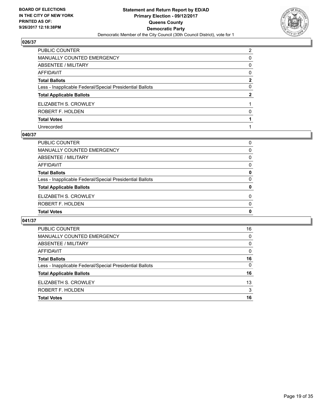

| PUBLIC COUNTER                                           | $\overline{2}$ |
|----------------------------------------------------------|----------------|
| MANUALLY COUNTED EMERGENCY                               | 0              |
| ABSENTEE / MILITARY                                      | 0              |
| AFFIDAVIT                                                | 0              |
| Total Ballots                                            | $\mathbf{2}$   |
| Less - Inapplicable Federal/Special Presidential Ballots | 0              |
| <b>Total Applicable Ballots</b>                          | $\mathbf{2}$   |
| ELIZABETH S. CROWLEY                                     |                |
| ROBERT F. HOLDEN                                         | 0              |
| <b>Total Votes</b>                                       |                |
| Unrecorded                                               |                |

#### **040/37**

| PUBLIC COUNTER                                           | 0        |
|----------------------------------------------------------|----------|
| MANUALLY COUNTED EMERGENCY                               | 0        |
| ABSENTEE / MILITARY                                      | 0        |
| AFFIDAVIT                                                | 0        |
| <b>Total Ballots</b>                                     | 0        |
| Less - Inapplicable Federal/Special Presidential Ballots | $\Omega$ |
| <b>Total Applicable Ballots</b>                          | 0        |
| ELIZABETH S. CROWLEY                                     | 0        |
| <b>ROBERT F. HOLDEN</b>                                  | $\Omega$ |
| <b>Total Votes</b>                                       | 0        |
|                                                          |          |

| <b>PUBLIC COUNTER</b>                                    | 16       |
|----------------------------------------------------------|----------|
| <b>MANUALLY COUNTED EMERGENCY</b>                        | 0        |
| <b>ABSENTEE / MILITARY</b>                               | 0        |
| AFFIDAVIT                                                | $\Omega$ |
| <b>Total Ballots</b>                                     | 16       |
| Less - Inapplicable Federal/Special Presidential Ballots | 0        |
| <b>Total Applicable Ballots</b>                          | 16       |
| ELIZABETH S. CROWLEY                                     | 13       |
| ROBERT F. HOLDEN                                         | 3        |
| <b>Total Votes</b>                                       | 16       |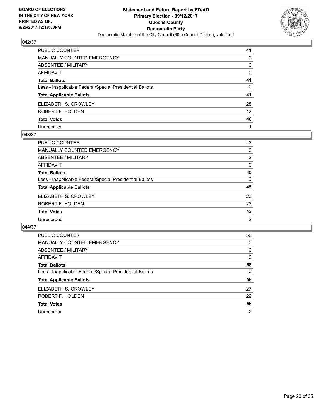

| PUBLIC COUNTER                                           | 41              |
|----------------------------------------------------------|-----------------|
| MANUALLY COUNTED EMERGENCY                               | $\Omega$        |
| ABSENTEE / MILITARY                                      | 0               |
| AFFIDAVIT                                                | $\mathbf{0}$    |
| Total Ballots                                            | 41              |
| Less - Inapplicable Federal/Special Presidential Ballots | $\mathbf{0}$    |
| <b>Total Applicable Ballots</b>                          | 41              |
| ELIZABETH S. CROWLEY                                     | 28              |
| ROBERT F. HOLDEN                                         | 12 <sup>2</sup> |
| <b>Total Votes</b>                                       | 40              |
| Unrecorded                                               |                 |

#### **043/37**

| <b>PUBLIC COUNTER</b>                                    | 43       |
|----------------------------------------------------------|----------|
| <b>MANUALLY COUNTED EMERGENCY</b>                        | 0        |
| ABSENTEE / MILITARY                                      | 2        |
| AFFIDAVIT                                                | 0        |
| <b>Total Ballots</b>                                     | 45       |
| Less - Inapplicable Federal/Special Presidential Ballots | $\Omega$ |
| <b>Total Applicable Ballots</b>                          | 45       |
| ELIZABETH S. CROWLEY                                     | 20       |
| ROBERT F. HOLDEN                                         | 23       |
| <b>Total Votes</b>                                       | 43       |
| Unrecorded                                               | 2        |

| <b>PUBLIC COUNTER</b>                                    | 58 |
|----------------------------------------------------------|----|
| <b>MANUALLY COUNTED EMERGENCY</b>                        | 0  |
| ABSENTEE / MILITARY                                      | 0  |
| AFFIDAVIT                                                | 0  |
| <b>Total Ballots</b>                                     | 58 |
| Less - Inapplicable Federal/Special Presidential Ballots | 0  |
| <b>Total Applicable Ballots</b>                          | 58 |
| ELIZABETH S. CROWLEY                                     | 27 |
| ROBERT F. HOLDEN                                         | 29 |
| <b>Total Votes</b>                                       | 56 |
| Unrecorded                                               | 2  |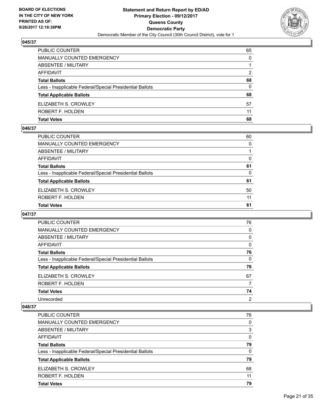

| PUBLIC COUNTER                                           | 65       |
|----------------------------------------------------------|----------|
| MANUALLY COUNTED EMERGENCY                               | 0        |
| ABSENTEE / MILITARY                                      |          |
| AFFIDAVIT                                                | 2        |
| <b>Total Ballots</b>                                     | 68       |
| Less - Inapplicable Federal/Special Presidential Ballots | $\Omega$ |
| <b>Total Applicable Ballots</b>                          | 68       |
| ELIZABETH S. CROWLEY                                     | 57       |
| ROBERT F. HOLDEN                                         | 11       |
| <b>Total Votes</b>                                       | 68       |

#### **046/37**

| PUBLIC COUNTER                                           | 60 |
|----------------------------------------------------------|----|
| <b>MANUALLY COUNTED EMERGENCY</b>                        | 0  |
| ABSENTEE / MILITARY                                      |    |
| AFFIDAVIT                                                | 0  |
| <b>Total Ballots</b>                                     | 61 |
| Less - Inapplicable Federal/Special Presidential Ballots | 0  |
| <b>Total Applicable Ballots</b>                          | 61 |
| ELIZABETH S. CROWLEY                                     | 50 |
| ROBERT F. HOLDEN                                         | 11 |
| <b>Total Votes</b>                                       | 61 |
|                                                          |    |

## **047/37**

| <b>PUBLIC COUNTER</b>                                    | 76             |
|----------------------------------------------------------|----------------|
| <b>MANUALLY COUNTED EMERGENCY</b>                        | 0              |
| ABSENTEE / MILITARY                                      | 0              |
| AFFIDAVIT                                                | 0              |
| <b>Total Ballots</b>                                     | 76             |
| Less - Inapplicable Federal/Special Presidential Ballots | 0              |
| <b>Total Applicable Ballots</b>                          | 76             |
| ELIZABETH S. CROWLEY                                     | 67             |
| ROBERT F. HOLDEN                                         | 7              |
| <b>Total Votes</b>                                       | 74             |
| Unrecorded                                               | $\overline{2}$ |

| <b>Total Votes</b>                                       | 79 |
|----------------------------------------------------------|----|
| ROBERT F. HOLDEN                                         | 11 |
| ELIZABETH S. CROWLEY                                     | 68 |
| <b>Total Applicable Ballots</b>                          | 79 |
| Less - Inapplicable Federal/Special Presidential Ballots | 0  |
| <b>Total Ballots</b>                                     | 79 |
| AFFIDAVIT                                                | 0  |
| ABSENTEE / MILITARY                                      | 3  |
| MANUALLY COUNTED EMERGENCY                               | 0  |
| PUBLIC COUNTER                                           | 76 |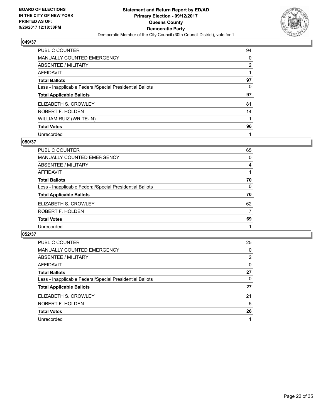

| PUBLIC COUNTER                                           | 94 |
|----------------------------------------------------------|----|
| <b>MANUALLY COUNTED EMERGENCY</b>                        | 0  |
| ABSENTEE / MILITARY                                      | 2  |
| AFFIDAVIT                                                |    |
| <b>Total Ballots</b>                                     | 97 |
| Less - Inapplicable Federal/Special Presidential Ballots | 0  |
| <b>Total Applicable Ballots</b>                          | 97 |
| ELIZABETH S. CROWLEY                                     | 81 |
| ROBERT F. HOLDEN                                         | 14 |
| WILLIAM RUIZ (WRITE-IN)                                  |    |
| <b>Total Votes</b>                                       | 96 |
| Unrecorded                                               |    |

#### **050/37**

| <b>PUBLIC COUNTER</b>                                    | 65 |
|----------------------------------------------------------|----|
| MANUALLY COUNTED EMERGENCY                               | 0  |
| ABSENTEE / MILITARY                                      | 4  |
| AFFIDAVIT                                                |    |
| <b>Total Ballots</b>                                     | 70 |
| Less - Inapplicable Federal/Special Presidential Ballots | 0  |
| <b>Total Applicable Ballots</b>                          | 70 |
| ELIZABETH S. CROWLEY                                     | 62 |
| ROBERT F. HOLDEN                                         | 7  |
| <b>Total Votes</b>                                       | 69 |
| Unrecorded                                               |    |

| PUBLIC COUNTER                                           | 25 |
|----------------------------------------------------------|----|
| MANUALLY COUNTED EMERGENCY                               | 0  |
| ABSENTEE / MILITARY                                      | 2  |
| AFFIDAVIT                                                | 0  |
| <b>Total Ballots</b>                                     | 27 |
| Less - Inapplicable Federal/Special Presidential Ballots | 0  |
| <b>Total Applicable Ballots</b>                          | 27 |
| ELIZABETH S. CROWLEY                                     | 21 |
| ROBERT F. HOLDEN                                         | 5  |
| <b>Total Votes</b>                                       | 26 |
| Unrecorded                                               | 1  |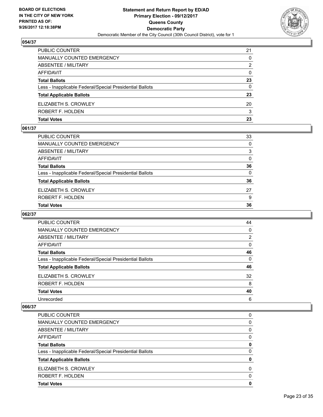

| <b>PUBLIC COUNTER</b>                                    | 21 |
|----------------------------------------------------------|----|
| MANUALLY COUNTED EMERGENCY                               | 0  |
| ABSENTEE / MILITARY                                      | 2  |
| AFFIDAVIT                                                | 0  |
| <b>Total Ballots</b>                                     | 23 |
| Less - Inapplicable Federal/Special Presidential Ballots | 0  |
| <b>Total Applicable Ballots</b>                          | 23 |
| ELIZABETH S. CROWLEY                                     | 20 |
| ROBERT F. HOLDEN                                         | 3  |
| <b>Total Votes</b>                                       | 23 |

#### **061/37**

| <b>Total Votes</b>                                       | 36       |
|----------------------------------------------------------|----------|
| ROBERT F. HOLDEN                                         | 9        |
| ELIZABETH S. CROWLEY                                     | 27       |
| <b>Total Applicable Ballots</b>                          | 36       |
| Less - Inapplicable Federal/Special Presidential Ballots | $\Omega$ |
| <b>Total Ballots</b>                                     | 36       |
| AFFIDAVIT                                                | $\Omega$ |
| ABSENTEE / MILITARY                                      | 3        |
| MANUALLY COUNTED EMERGENCY                               | $\Omega$ |
| PUBLIC COUNTER                                           | 33       |

## **062/37**

| <b>PUBLIC COUNTER</b>                                    | 44             |
|----------------------------------------------------------|----------------|
| <b>MANUALLY COUNTED EMERGENCY</b>                        | 0              |
| ABSENTEE / MILITARY                                      | $\overline{2}$ |
| AFFIDAVIT                                                | 0              |
| <b>Total Ballots</b>                                     | 46             |
| Less - Inapplicable Federal/Special Presidential Ballots | 0              |
| <b>Total Applicable Ballots</b>                          | 46             |
| ELIZABETH S. CROWLEY                                     | 32             |
| ROBERT F. HOLDEN                                         | 8              |
| <b>Total Votes</b>                                       | 40             |
| Unrecorded                                               | 6              |

| <b>PUBLIC COUNTER</b>                                    | 0 |
|----------------------------------------------------------|---|
| <b>MANUALLY COUNTED EMERGENCY</b>                        | 0 |
| ABSENTEE / MILITARY                                      | 0 |
| AFFIDAVIT                                                | 0 |
| <b>Total Ballots</b>                                     | 0 |
| Less - Inapplicable Federal/Special Presidential Ballots | 0 |
| <b>Total Applicable Ballots</b>                          | 0 |
| ELIZABETH S. CROWLEY                                     | 0 |
| ROBERT F. HOLDEN                                         | 0 |
| <b>Total Votes</b>                                       | 0 |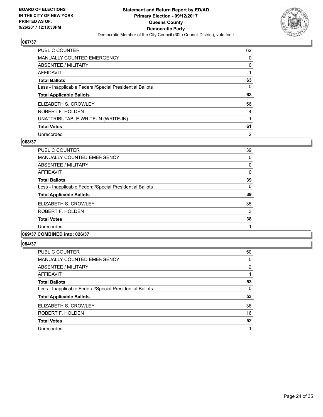

| PUBLIC COUNTER                                           | 62             |
|----------------------------------------------------------|----------------|
| <b>MANUALLY COUNTED EMERGENCY</b>                        | 0              |
| ABSENTEE / MILITARY                                      | 0              |
| AFFIDAVIT                                                |                |
| <b>Total Ballots</b>                                     | 63             |
| Less - Inapplicable Federal/Special Presidential Ballots | 0              |
| <b>Total Applicable Ballots</b>                          | 63             |
| ELIZABETH S. CROWLEY                                     | 56             |
| ROBERT F. HOLDEN                                         | 4              |
| UNATTRIBUTABLE WRITE-IN (WRITE-IN)                       |                |
| <b>Total Votes</b>                                       | 61             |
| Unrecorded                                               | $\overline{2}$ |

#### **068/37**

| PUBLIC COUNTER                                           | 39 |
|----------------------------------------------------------|----|
|                                                          |    |
| MANUALLY COUNTED EMERGENCY                               | 0  |
| ABSENTEE / MILITARY                                      | 0  |
| AFFIDAVIT                                                | 0  |
| <b>Total Ballots</b>                                     | 39 |
| Less - Inapplicable Federal/Special Presidential Ballots | 0  |
| <b>Total Applicable Ballots</b>                          | 39 |
| ELIZABETH S. CROWLEY                                     | 35 |
| ROBERT F. HOLDEN                                         | 3  |
| <b>Total Votes</b>                                       | 38 |
| Unrecorded                                               |    |
|                                                          |    |

# **069/37 COMBINED into: 026/37**

| <b>PUBLIC COUNTER</b>                                    | 50 |
|----------------------------------------------------------|----|
| <b>MANUALLY COUNTED EMERGENCY</b>                        | 0  |
| ABSENTEE / MILITARY                                      | 2  |
| <b>AFFIDAVIT</b>                                         |    |
| <b>Total Ballots</b>                                     | 53 |
| Less - Inapplicable Federal/Special Presidential Ballots | 0  |
| <b>Total Applicable Ballots</b>                          | 53 |
| ELIZABETH S. CROWLEY                                     | 36 |
| ROBERT F. HOLDEN                                         | 16 |
| <b>Total Votes</b>                                       | 52 |
| Unrecorded                                               | 1  |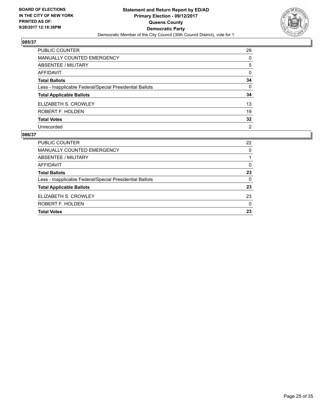

| PUBLIC COUNTER                                           | 29             |
|----------------------------------------------------------|----------------|
| <b>MANUALLY COUNTED EMERGENCY</b>                        | 0              |
| ABSENTEE / MILITARY                                      | 5              |
| <b>AFFIDAVIT</b>                                         | $\Omega$       |
| <b>Total Ballots</b>                                     | 34             |
| Less - Inapplicable Federal/Special Presidential Ballots | $\mathbf{0}$   |
| <b>Total Applicable Ballots</b>                          | 34             |
| ELIZABETH S. CROWLEY                                     | 13             |
| ROBERT F. HOLDEN                                         | 19             |
| <b>Total Votes</b>                                       | 32             |
| Unrecorded                                               | $\overline{2}$ |

| <b>PUBLIC COUNTER</b>                                    | 22 |
|----------------------------------------------------------|----|
| <b>MANUALLY COUNTED EMERGENCY</b>                        | 0  |
| ABSENTEE / MILITARY                                      |    |
| AFFIDAVIT                                                | 0  |
| <b>Total Ballots</b>                                     | 23 |
| Less - Inapplicable Federal/Special Presidential Ballots | 0  |
| <b>Total Applicable Ballots</b>                          | 23 |
| ELIZABETH S. CROWLEY                                     | 23 |
| ROBERT F. HOLDEN                                         | 0  |
| <b>Total Votes</b>                                       | 23 |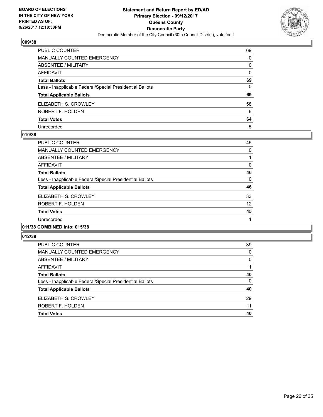

| PUBLIC COUNTER                                           | 69       |
|----------------------------------------------------------|----------|
| <b>MANUALLY COUNTED EMERGENCY</b>                        | 0        |
| ABSENTEE / MILITARY                                      | 0        |
| <b>AFFIDAVIT</b>                                         | $\Omega$ |
| <b>Total Ballots</b>                                     | 69       |
| Less - Inapplicable Federal/Special Presidential Ballots | $\Omega$ |
| <b>Total Applicable Ballots</b>                          | 69       |
| ELIZABETH S. CROWLEY                                     | 58       |
| ROBERT F. HOLDEN                                         | 6        |
| <b>Total Votes</b>                                       | 64       |
| Unrecorded                                               | 5        |

#### **010/38**

| PUBLIC COUNTER                                           | 45 |
|----------------------------------------------------------|----|
| <b>MANUALLY COUNTED EMERGENCY</b>                        | 0  |
| ABSENTEE / MILITARY                                      |    |
| AFFIDAVIT                                                | 0  |
| <b>Total Ballots</b>                                     | 46 |
| Less - Inapplicable Federal/Special Presidential Ballots | 0  |
| <b>Total Applicable Ballots</b>                          | 46 |
| ELIZABETH S. CROWLEY                                     | 33 |
| ROBERT F. HOLDEN                                         | 12 |
| <b>Total Votes</b>                                       | 45 |
| Unrecorded                                               |    |
| .                                                        |    |

#### **011/38 COMBINED into: 015/38**

| 39 |
|----|
| 0  |
| 0  |
|    |
| 40 |
| 0  |
| 40 |
| 29 |
| 11 |
| 40 |
|    |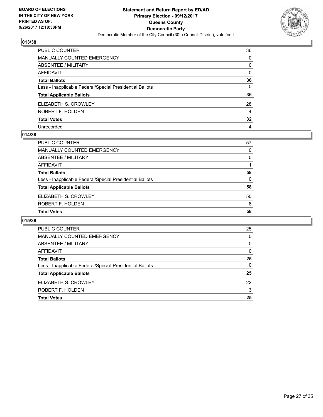

| PUBLIC COUNTER                                           | 36              |
|----------------------------------------------------------|-----------------|
| MANUALLY COUNTED EMERGENCY                               | 0               |
| ABSENTEE / MILITARY                                      | 0               |
| AFFIDAVIT                                                | $\mathbf{0}$    |
| Total Ballots                                            | 36              |
| Less - Inapplicable Federal/Special Presidential Ballots | $\mathbf{0}$    |
| <b>Total Applicable Ballots</b>                          | 36              |
| ELIZABETH S. CROWLEY                                     | 28              |
| ROBERT F. HOLDEN                                         | 4               |
| <b>Total Votes</b>                                       | $32\phantom{a}$ |
| Unrecorded                                               | 4               |

#### **014/38**

| PUBLIC COUNTER                                           | 57 |
|----------------------------------------------------------|----|
| <b>MANUALLY COUNTED EMERGENCY</b>                        | 0  |
| ABSENTEE / MILITARY                                      | 0  |
| AFFIDAVIT                                                |    |
| <b>Total Ballots</b>                                     | 58 |
| Less - Inapplicable Federal/Special Presidential Ballots | 0  |
| <b>Total Applicable Ballots</b>                          | 58 |
| ELIZABETH S. CROWLEY                                     | 50 |
| ROBERT F. HOLDEN                                         | 8  |
| <b>Total Votes</b>                                       | 58 |
|                                                          |    |

| PUBLIC COUNTER                                           | 25 |
|----------------------------------------------------------|----|
| <b>MANUALLY COUNTED EMERGENCY</b>                        | 0  |
| ABSENTEE / MILITARY                                      | 0  |
| AFFIDAVIT                                                | 0  |
| <b>Total Ballots</b>                                     | 25 |
| Less - Inapplicable Federal/Special Presidential Ballots | 0  |
| <b>Total Applicable Ballots</b>                          | 25 |
| ELIZABETH S. CROWLEY                                     | 22 |
| ROBERT F. HOLDEN                                         | 3  |
| <b>Total Votes</b>                                       | 25 |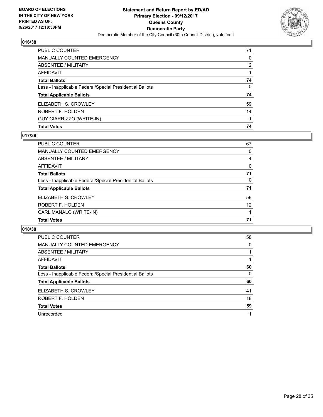

| PUBLIC COUNTER                                           | 71 |
|----------------------------------------------------------|----|
| <b>MANUALLY COUNTED EMERGENCY</b>                        | 0  |
| ABSENTEE / MILITARY                                      | 2  |
| <b>AFFIDAVIT</b>                                         |    |
| <b>Total Ballots</b>                                     | 74 |
| Less - Inapplicable Federal/Special Presidential Ballots | 0  |
| <b>Total Applicable Ballots</b>                          | 74 |
| ELIZABETH S. CROWLEY                                     | 59 |
| ROBERT F. HOLDEN                                         | 14 |
| <b>GUY GIARRIZZO (WRITE-IN)</b>                          |    |
| <b>Total Votes</b>                                       | 74 |

## **017/38**

| PUBLIC COUNTER                                           | 67 |
|----------------------------------------------------------|----|
| <b>MANUALLY COUNTED EMERGENCY</b>                        | 0  |
| ABSENTEE / MILITARY                                      | 4  |
| AFFIDAVIT                                                | 0  |
| <b>Total Ballots</b>                                     | 71 |
| Less - Inapplicable Federal/Special Presidential Ballots | 0  |
| <b>Total Applicable Ballots</b>                          | 71 |
| ELIZABETH S. CROWLEY                                     | 58 |
| ROBERT F. HOLDEN                                         | 12 |
| CARL MANALO (WRITE-IN)                                   |    |
| <b>Total Votes</b>                                       | 71 |
|                                                          |    |

| <b>PUBLIC COUNTER</b>                                    | 58 |
|----------------------------------------------------------|----|
| MANUALLY COUNTED EMERGENCY                               | 0  |
| ABSENTEE / MILITARY                                      |    |
| AFFIDAVIT                                                |    |
| <b>Total Ballots</b>                                     | 60 |
| Less - Inapplicable Federal/Special Presidential Ballots | 0  |
| <b>Total Applicable Ballots</b>                          | 60 |
| ELIZABETH S. CROWLEY                                     | 41 |
| ROBERT F. HOLDEN                                         | 18 |
| <b>Total Votes</b>                                       | 59 |
| Unrecorded                                               | 1  |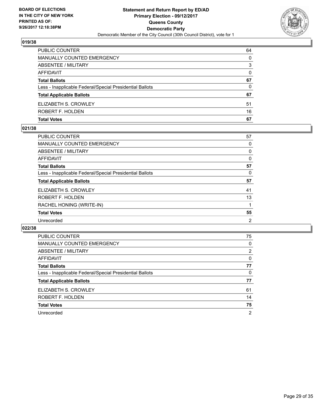

| <b>PUBLIC COUNTER</b>                                    | 64 |
|----------------------------------------------------------|----|
| MANUALLY COUNTED EMERGENCY                               | 0  |
| ABSENTEE / MILITARY                                      | 3  |
| AFFIDAVIT                                                | 0  |
| <b>Total Ballots</b>                                     | 67 |
| Less - Inapplicable Federal/Special Presidential Ballots | 0  |
| <b>Total Applicable Ballots</b>                          | 67 |
| ELIZABETH S. CROWLEY                                     | 51 |
| ROBERT F. HOLDEN                                         | 16 |
| <b>Total Votes</b>                                       | 67 |

## **021/38**

| PUBLIC COUNTER                                           | 57             |
|----------------------------------------------------------|----------------|
| <b>MANUALLY COUNTED EMERGENCY</b>                        | 0              |
| ABSENTEE / MILITARY                                      | 0              |
| <b>AFFIDAVIT</b>                                         | 0              |
| <b>Total Ballots</b>                                     | 57             |
| Less - Inapplicable Federal/Special Presidential Ballots | 0              |
| <b>Total Applicable Ballots</b>                          | 57             |
| ELIZABETH S. CROWLEY                                     | 41             |
| ROBERT F. HOLDEN                                         | 13             |
| RACHEL HONING (WRITE-IN)                                 |                |
| <b>Total Votes</b>                                       | 55             |
| Unrecorded                                               | $\overline{2}$ |

| <b>PUBLIC COUNTER</b>                                    | 75             |
|----------------------------------------------------------|----------------|
| <b>MANUALLY COUNTED EMERGENCY</b>                        | 0              |
| ABSENTEE / MILITARY                                      | 2              |
| AFFIDAVIT                                                | 0              |
| <b>Total Ballots</b>                                     | 77             |
| Less - Inapplicable Federal/Special Presidential Ballots | 0              |
| <b>Total Applicable Ballots</b>                          | 77             |
| ELIZABETH S. CROWLEY                                     | 61             |
| ROBERT F. HOLDEN                                         | 14             |
| <b>Total Votes</b>                                       | 75             |
| Unrecorded                                               | $\overline{2}$ |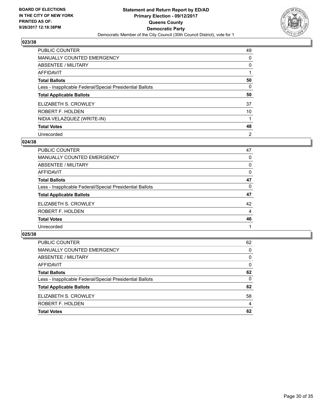

| <b>PUBLIC COUNTER</b>                                    | 49             |
|----------------------------------------------------------|----------------|
| <b>MANUALLY COUNTED EMERGENCY</b>                        | 0              |
| ABSENTEE / MILITARY                                      | 0              |
| AFFIDAVIT                                                |                |
| <b>Total Ballots</b>                                     | 50             |
| Less - Inapplicable Federal/Special Presidential Ballots | 0              |
| <b>Total Applicable Ballots</b>                          | 50             |
| ELIZABETH S. CROWLEY                                     | 37             |
| ROBERT F. HOLDEN                                         | 10             |
| NIDIA VELAZQUEZ (WRITE-IN)                               |                |
| <b>Total Votes</b>                                       | 48             |
| Unrecorded                                               | $\overline{2}$ |

#### **024/38**

| <b>PUBLIC COUNTER</b>                                    | 47 |
|----------------------------------------------------------|----|
| MANUALLY COUNTED EMERGENCY                               | 0  |
| ABSENTEE / MILITARY                                      | 0  |
| AFFIDAVIT                                                | 0  |
| <b>Total Ballots</b>                                     | 47 |
| Less - Inapplicable Federal/Special Presidential Ballots | 0  |
| <b>Total Applicable Ballots</b>                          | 47 |
| ELIZABETH S. CROWLEY                                     | 42 |
| ROBERT F. HOLDEN                                         | 4  |
| <b>Total Votes</b>                                       | 46 |
| Unrecorded                                               |    |

| <b>PUBLIC COUNTER</b>                                    | 62       |
|----------------------------------------------------------|----------|
| MANUALLY COUNTED EMERGENCY                               | 0        |
| ABSENTEE / MILITARY                                      | $\Omega$ |
| AFFIDAVIT                                                | $\Omega$ |
| <b>Total Ballots</b>                                     | 62       |
| Less - Inapplicable Federal/Special Presidential Ballots | $\Omega$ |
| <b>Total Applicable Ballots</b>                          | 62       |
| ELIZABETH S. CROWLEY                                     | 58       |
| ROBERT F. HOLDEN                                         | 4        |
| <b>Total Votes</b>                                       | 62       |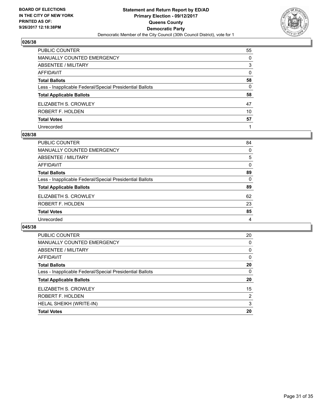

| PUBLIC COUNTER                                           | 55       |
|----------------------------------------------------------|----------|
| <b>MANUALLY COUNTED EMERGENCY</b>                        | $\Omega$ |
| <b>ABSENTEE / MILITARY</b>                               | 3        |
| <b>AFFIDAVIT</b>                                         | $\Omega$ |
| <b>Total Ballots</b>                                     | 58       |
| Less - Inapplicable Federal/Special Presidential Ballots | 0        |
| <b>Total Applicable Ballots</b>                          | 58       |
| ELIZABETH S. CROWLEY                                     | 47       |
| ROBERT F. HOLDEN                                         | 10       |
| <b>Total Votes</b>                                       | 57       |
| Unrecorded                                               |          |

#### **028/38**

| 84 |
|----|
| 0  |
| 5  |
| 0  |
| 89 |
| 0  |
| 89 |
| 62 |
| 23 |
| 85 |
| 4  |
|    |

| <b>PUBLIC COUNTER</b>                                    | 20 |
|----------------------------------------------------------|----|
| <b>MANUALLY COUNTED EMERGENCY</b>                        | 0  |
| ABSENTEE / MILITARY                                      | 0  |
| <b>AFFIDAVIT</b>                                         | 0  |
| <b>Total Ballots</b>                                     | 20 |
| Less - Inapplicable Federal/Special Presidential Ballots | 0  |
| <b>Total Applicable Ballots</b>                          | 20 |
| ELIZABETH S. CROWLEY                                     | 15 |
| ROBERT F. HOLDEN                                         | 2  |
| HELAL SHEIKH (WRITE-IN)                                  | 3  |
| <b>Total Votes</b>                                       | 20 |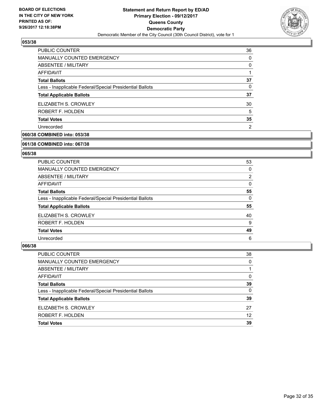

| 36 |
|----|
| 0  |
| 0  |
|    |
| 37 |
| 0  |
| 37 |
| 30 |
| 5  |
| 35 |
| 2  |
|    |

# **060/38 COMBINED into: 053/38**

#### **061/38 COMBINED into: 067/38**

## **065/38**

| <b>PUBLIC COUNTER</b>                                    | 53 |
|----------------------------------------------------------|----|
| <b>MANUALLY COUNTED EMERGENCY</b>                        | 0  |
| <b>ABSENTEE / MILITARY</b>                               | 2  |
| AFFIDAVIT                                                | 0  |
| <b>Total Ballots</b>                                     | 55 |
| Less - Inapplicable Federal/Special Presidential Ballots | 0  |
| <b>Total Applicable Ballots</b>                          | 55 |
| ELIZABETH S. CROWLEY                                     | 40 |
| ROBERT F. HOLDEN                                         | 9  |
| <b>Total Votes</b>                                       | 49 |
| Unrecorded                                               | 6  |

| PUBLIC COUNTER                                           | 38           |
|----------------------------------------------------------|--------------|
| MANUALLY COUNTED EMERGENCY                               | $\Omega$     |
| <b>ABSENTEE / MILITARY</b>                               |              |
| AFFIDAVIT                                                | $\Omega$     |
| <b>Total Ballots</b>                                     | 39           |
| Less - Inapplicable Federal/Special Presidential Ballots | $\mathbf{0}$ |
| <b>Total Applicable Ballots</b>                          | 39           |
| ELIZABETH S. CROWLEY                                     | 27           |
| ROBERT F. HOLDEN                                         | 12           |
| <b>Total Votes</b>                                       | 39           |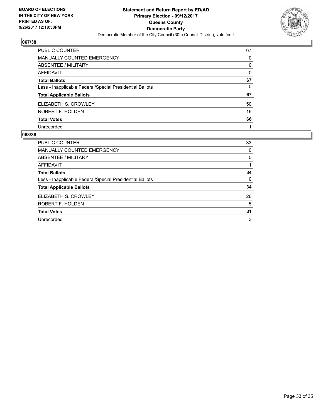

| <b>PUBLIC COUNTER</b>                                    | 67       |
|----------------------------------------------------------|----------|
| <b>MANUALLY COUNTED EMERGENCY</b>                        | 0        |
| ABSENTEE / MILITARY                                      | $\Omega$ |
| AFFIDAVIT                                                | 0        |
| <b>Total Ballots</b>                                     | 67       |
| Less - Inapplicable Federal/Special Presidential Ballots | 0        |
| <b>Total Applicable Ballots</b>                          | 67       |
| ELIZABETH S. CROWLEY                                     | 50       |
| ROBERT F. HOLDEN                                         | 16       |
| <b>Total Votes</b>                                       | 66       |
| Unrecorded                                               |          |

| <b>PUBLIC COUNTER</b>                                    | 33 |
|----------------------------------------------------------|----|
| <b>MANUALLY COUNTED EMERGENCY</b>                        | 0  |
| ABSENTEE / MILITARY                                      | 0  |
| AFFIDAVIT                                                |    |
| <b>Total Ballots</b>                                     | 34 |
| Less - Inapplicable Federal/Special Presidential Ballots | 0  |
| <b>Total Applicable Ballots</b>                          | 34 |
| ELIZABETH S. CROWLEY                                     | 26 |
| ROBERT F. HOLDEN                                         | 5  |
| <b>Total Votes</b>                                       | 31 |
| Unrecorded                                               | 3  |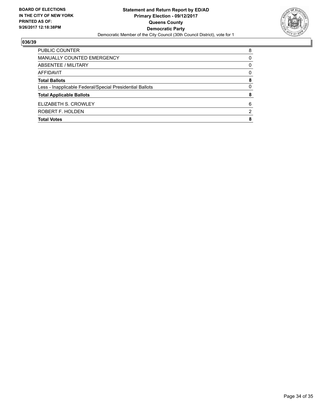

| PUBLIC COUNTER                                           | 8 |
|----------------------------------------------------------|---|
| MANUALLY COUNTED EMERGENCY                               | 0 |
| ABSENTEE / MILITARY                                      | 0 |
| AFFIDAVIT                                                | 0 |
| <b>Total Ballots</b>                                     | 8 |
| Less - Inapplicable Federal/Special Presidential Ballots | 0 |
| <b>Total Applicable Ballots</b>                          | 8 |
| ELIZABETH S. CROWLEY                                     | 6 |
| ROBERT F. HOLDEN                                         | 2 |
| <b>Total Votes</b>                                       | 8 |